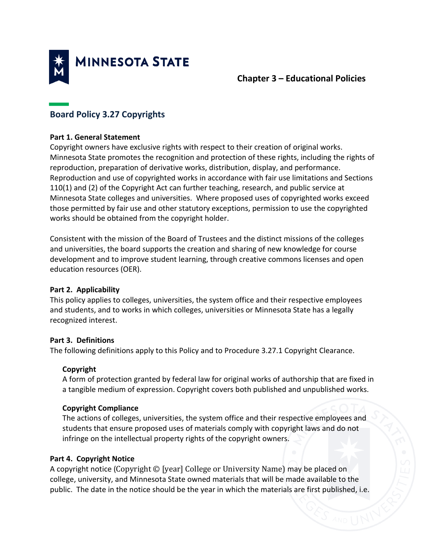

## **Chapter 3 – Educational Policies**

# **Board Policy 3.27 Copyrights**

#### **Part 1. General Statement**

Copyright owners have exclusive rights with respect to their creation of original works. Minnesota State promotes the recognition and protection of these rights, including the rights of reproduction, preparation of derivative works, distribution, display, and performance. Reproduction and use of copyrighted works in accordance with fair use limitations and Sections 110(1) and (2) of the Copyright Act can further teaching, research, and public service at Minnesota State colleges and universities. Where proposed uses of copyrighted works exceed those permitted by fair use and other statutory exceptions, permission to use the copyrighted works should be obtained from the copyright holder.

Consistent with the mission of the Board of Trustees and the distinct missions of the colleges and universities, the board supports the creation and sharing of new knowledge for course development and to improve student learning, through creative commons licenses and open education resources (OER).

#### **Part 2. Applicability**

This policy applies to colleges, universities, the system office and their respective employees and students, and to works in which colleges, universities or Minnesota State has a legally recognized interest.

#### **Part 3. Definitions**

The following definitions apply to this Policy and to Procedure 3.27.1 Copyright Clearance.

## **Copyright**

A form of protection granted by federal law for original works of authorship that are fixed in a tangible medium of expression. Copyright covers both published and unpublished works.

## **Copyright Compliance**

The actions of colleges, universities, the system office and their respective employees and students that ensure proposed uses of materials comply with copyright laws and do not infringe on the intellectual property rights of the copyright owners.

## **Part 4. Copyright Notice**

A copyright notice (Copyright © [year] College or University Name) may be placed on college, university, and Minnesota State owned materials that will be made available to the public. The date in the notice should be the year in which the materials are first published, i.e.